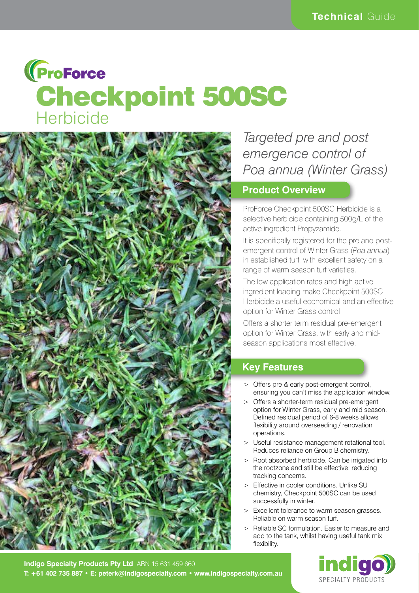# **(ProForce** Checkpoint 500SC **Herbicide**



## *Targeted pre and post emergence control of Poa annua (Winter Grass)*

### **Product Overview**

ProForce Checkpoint 500SC Herbicide is a selective herbicide containing 500g/L of the active ingredient Propyzamide.

It is specifically registered for the pre and postemergent control of Winter Grass (*Poa annua*) in established turf, with excellent safety on a range of warm season turf varieties.

The low application rates and high active ingredient loading make Checkpoint 500SC Herbicide a useful economical and an effective option for Winter Grass control.

Offers a shorter term residual pre-emergent option for Winter Grass, with early and midseason applications most effective.

## **Key Features**

- > Offers pre & early post-emergent control, ensuring you can't miss the application window.
- > Offers a shorter-term residual pre-emergent option for Winter Grass, early and mid season. Defined residual period of 6-8 weeks allows flexibility around overseeding / renovation operations.
- > Useful resistance management rotational tool. Reduces reliance on Group B chemistry.
- > Root absorbed herbicide. Can be irrigated into the rootzone and still be effective, reducing tracking concerns.
- > Effective in cooler conditions. Unlike SU chemistry, Checkpoint 500SC can be used successfully in winter.
- > Excellent tolerance to warm season grasses. Reliable on warm season turf.
- Reliable SC formulation. Easier to measure and add to the tank, whilst having useful tank mix flexibility.



**Indigo Specialty Products Pty Ltd** ABN 15 631 459 660 **T: +61 402 735 887 • E: peterk@indigospecialty.com • www.indigospecialty.com.au**